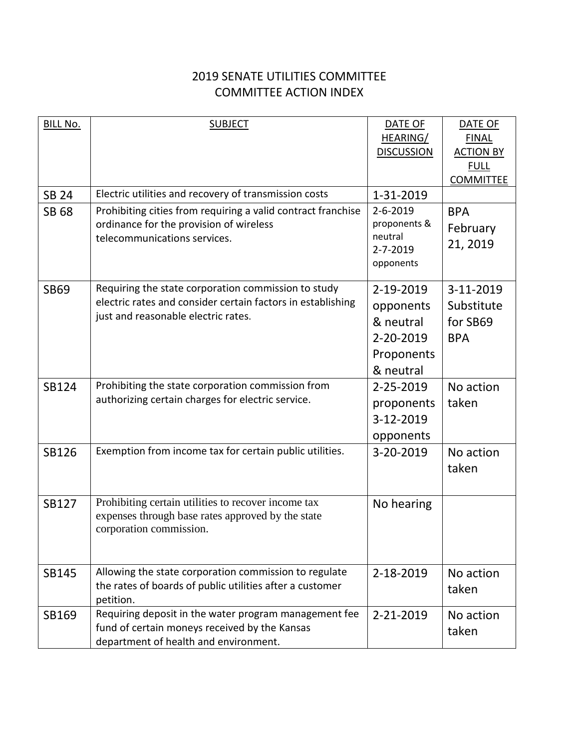## 2019 SENATE UTILITIES COMMITTEE COMMITTEE ACTION INDEX

| <b>BILL No.</b> | <b>SUBJECT</b>                                                                                                    | DATE OF                 | DATE OF          |
|-----------------|-------------------------------------------------------------------------------------------------------------------|-------------------------|------------------|
|                 |                                                                                                                   | HEARING/                | <b>FINAL</b>     |
|                 |                                                                                                                   | <b>DISCUSSION</b>       | <b>ACTION BY</b> |
|                 |                                                                                                                   |                         | <b>FULL</b>      |
|                 |                                                                                                                   |                         | <b>COMMITTEE</b> |
| <b>SB 24</b>    | Electric utilities and recovery of transmission costs                                                             | 1-31-2019               |                  |
| SB 68           | Prohibiting cities from requiring a valid contract franchise                                                      | $2 - 6 - 2019$          | <b>BPA</b>       |
|                 | ordinance for the provision of wireless<br>telecommunications services.                                           | proponents &<br>neutral | February         |
|                 |                                                                                                                   | 2-7-2019                | 21, 2019         |
|                 |                                                                                                                   | opponents               |                  |
|                 |                                                                                                                   |                         |                  |
| <b>SB69</b>     | Requiring the state corporation commission to study                                                               | 2-19-2019               | 3-11-2019        |
|                 | electric rates and consider certain factors in establishing                                                       | opponents               | Substitute       |
|                 | just and reasonable electric rates.                                                                               | & neutral               | for SB69         |
|                 |                                                                                                                   | 2-20-2019               | <b>BPA</b>       |
|                 |                                                                                                                   | Proponents              |                  |
|                 |                                                                                                                   | & neutral               |                  |
| SB124           | Prohibiting the state corporation commission from                                                                 | 2-25-2019               | No action        |
|                 | authorizing certain charges for electric service.                                                                 | proponents              | taken            |
|                 |                                                                                                                   | 3-12-2019               |                  |
|                 |                                                                                                                   | opponents               |                  |
| <b>SB126</b>    | Exemption from income tax for certain public utilities.                                                           | 3-20-2019               | No action        |
|                 |                                                                                                                   |                         | taken            |
|                 |                                                                                                                   |                         |                  |
| <b>SB127</b>    | Prohibiting certain utilities to recover income tax                                                               | No hearing              |                  |
|                 | expenses through base rates approved by the state                                                                 |                         |                  |
|                 | corporation commission.                                                                                           |                         |                  |
|                 |                                                                                                                   |                         |                  |
|                 |                                                                                                                   |                         |                  |
| SB145           | Allowing the state corporation commission to regulate<br>the rates of boards of public utilities after a customer | 2-18-2019               | No action        |
|                 | petition.                                                                                                         |                         | taken            |
| SB169           | Requiring deposit in the water program management fee                                                             | 2-21-2019               | No action        |
|                 | fund of certain moneys received by the Kansas                                                                     |                         | taken            |
|                 | department of health and environment.                                                                             |                         |                  |